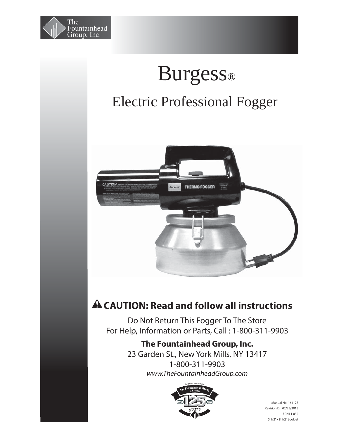

# Burgess®

## Electric Professional Fogger



### **CAUTION: Read and follow all instructions**

Do Not Return This Fogger To The Store For Help, Information or Parts, Call : 1-800-311-9903

#### **The Fountainhead Group, Inc.**

23 Garden St., New York Mills, NY 13417 1-800-311-9903 *www.TheFountainheadGroup.com*



Manual No. 161128 Revision D. 02/25/2015 ECN14-032 5 1/2" x 8 1/2" Booklet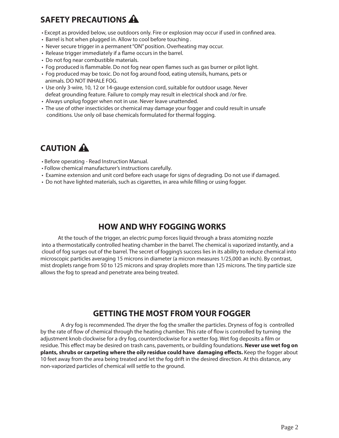#### **SAFETY PRECAUTIONS**

- Except as provided below, use outdoors only. Fire or explosion may occur if used in confined area.
- Barrel is hot when plugged in. Allow to cool before touching .
- Never secure trigger in a permanent "ON" position. Overheating may occur.
- Release trigger immediately if a flame occurs in the barrel.
- Do not fog near combustible materials.
- Fog produced is flammable. Do not fog near open flames such as gas burner or pilot light.
- Fog produced may be toxic. Do not fog around food, eating utensils, humans, pets or animals. DO NOT INHALE FOG.
- Use only 3-wire, 10, 12 or 14-gauge extension cord, suitable for outdoor usage. Never defeat grounding feature. Failure to comply may result in electrical shock and /or fire.
- Always unplug fogger when not in use. Never leave unattended.
- The use of other insecticides or chemical may damage your fogger and could result in unsafe conditions. Use only oil base chemicals formulated for thermal fogging.

#### **CAUTION**

- Before operating Read Instruction Manual.
- Follow chemical manufacturer's instructions carefully.
- Examine extension and unit cord before each usage for signs of degrading. Do not use if damaged.
- Do not have lighted materials, such as cigarettes, in area while filling or using fogger.

#### **HOW AND WHY FOGGING WORKS**

 At the touch of the trigger, an electric pump forces liquid through a brass atomizing nozzle into a thermostatically controlled heating chamber in the barrel. The chemical is vaporized instantly, and a cloud of fog surges out of the barrel. The secret of fogging's success lies in its ability to reduce chemical into microscopic particles averaging 15 microns in diameter (a micron measures 1/25,000 an inch). By contrast, mist droplets range from 50 to 125 microns and spray droplets more than 125 microns. The tiny particle size allows the fog to spread and penetrate area being treated.

#### **GETTING THE MOST FROM YOUR FOGGER**

 A dry fog is recommended. The dryer the fog the smaller the particles. Dryness of fog is controlled by the rate of flow of chemical through the heating chamber. This rate of flow is controlled by turning the adjustment knob clockwise for a dry fog, counterclockwise for a wetter fog. Wet fog deposits a film or residue. This effect may be desired on trash cans, pavements, or building foundations. **Never use wet fog on plants, shrubs or carpeting where the oily residue could have damaging effects. Keep the fogger about** 10 feet away from the area being treated and let the fog drift in the desired direction. At this distance, any non-vaporized particles of chemical will settle to the ground.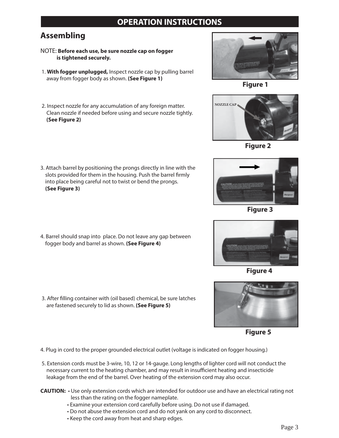#### **OPERATION INSTRUCTIONS**

#### **Assembling**

**(See Figure 2)**

- NOTE: **Before each use, be sure nozzle cap on fogger is tightened securely.**
- 1. **With fogger unplugged,** Inspect nozzle cap by pulling barrel away from fogger body as shown. **(See Figure 1)**

 2. Inspect nozzle for any accumulation of any foreign matter. Clean nozzle if needed before using and secure nozzle tightly.



**Figure 1**



**Figure 2**

3. Attach barrel by positioning the prongs directly in line with the slots provided for them in the housing. Push the barrel firmly into place being careful not to twist or bend the prongs. **(See Figure 3)**



**Figure 3**



**Figure 4**

4. Barrel should snap into place. Do not leave any gap between fogger body and barrel as shown. **(See Figure 4)** 

3. After filling container with (oil based) chemical, be sure latches are fastened securely to lid as shown. **(See Figure 5)**



**Figure 5**

- 4. Plug in cord to the proper grounded electrical outlet (voltage is indicated on fogger housing.)
- 5. Extension cords must be 3-wire, 10, 12 or 14-gauge. Long lengths of lighter cord will not conduct the necessary current to the heating chamber, and may result in insufficient heating and insecticide leakage from the end of the barrel. Over heating of the extension cord may also occur.
- **CAUTION:** Use only extension cords which are intended for outdoor use and have an electrical rating not less than the rating on the fogger nameplate.
	- Examine your extension cord carefully before using. Do not use if damaged.
	- Do not abuse the extension cord and do not yank on any cord to disconnect.
	- Keep the cord away from heat and sharp edges.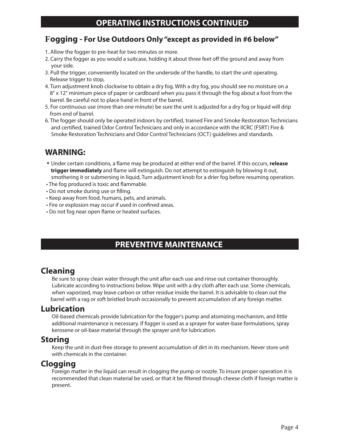#### **Fogging - For Use Outdoors Only "except as provided in #6 below"**

- 1. Allow the fogger to pre-heat for two minutes or more.
- 2. Carry the fogger as you would a suitcase, holding it about three feet off the ground and away from your side.
- 3. Pull the trigger, conveniently located on the underside of the handle, to start the unit operating. Release trigger to stop,
- 4. Turn adjustment knob clockwise to obtain a dry fog. With a dry fog, you should see no moisture on a 8" x 12" minimum piece of paper or cardboard when you pass it through the fog about a foot from the barrel. Be careful not to place hand in front of the barrel.
- 5. For continuous use (more than one minute) be sure the unit is adjusted for a dry fog or liquid will drip from end of barrel.
- 6. The fogger should only be operated indoors by certified, trained Fire and Smoke Restoration Technicians and certified, trained Odor Control Technicians and only in accordance with the IICRC (FSRT) Fire & Smoke Restoration Technicians and Odor Control Technicians (OCT) guidelines and standards.

#### **WARNING:**

- Under certain conditions, a flame may be produced at either end of the barrel. If this occurs, *release* **trigger immediately** and flame will extinguish. Do not attempt to extinguish by blowing it out, smothering it or submersing in liquid, Turn adjustment knob for a drier fog before resuming operation.
- The fog produced is toxic and flammable.
- Do not smoke during use or filling.
- Keep away from food, humans, pets, and animals.
- Fire or explosion may occur if used in confined areas.
- Do not fog near open flame or heated surfaces.

#### **PREVENTIVE MAINTENANCE**

#### **Cleaning**

 Be sure to spray clean water through the unit after each use and rinse out container thoroughly. Lubricate according to instructions below. Wipe unit with a dry cloth after each use. Some chemicals, when vaporized, may leave carbon or other residue inside the barrel. It is advisable to clean out the barrel with a rag or soft bristled brush occasionally to prevent accumulation of any foreign matter.

#### **Lubrication**

 Oil-based chemicals provide lubrication for the fogger's pump and atomizing mechanism, and little additional maintenance is necessary. If fogger is used as a sprayer for water-base formulations, spray kerosene or oil-base material through the sprayer unit for lubrication.

#### **Storing**

 Keep the unit in dust-free storage to prevent accumulation of dirt in its mechanism. Never store unit with chemicals in the container.

#### **Clogging**

 Foreign matter in the liquid can result in clogging the pump or nozzle. To insure proper operation it is recommended that clean material be used, or that it be filtered through cheese cloth if foreign matter is present.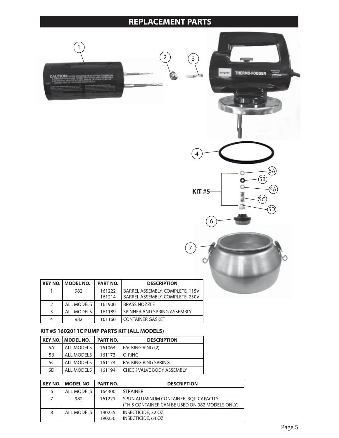#### **REPLACEMENT PARTS**

7





|               | KEY NO.   MODEL NO. | <b>PART NO.</b> | <b>DESCRIPTION</b>              |
|---------------|---------------------|-----------------|---------------------------------|
|               | 982                 | 161222          | BARREL ASSEMBLY, COMPLETE, 115V |
|               |                     | 161214          | BARREL ASSEMBLY, COMPLETE, 230V |
| $\mathcal{P}$ | <b>ALL MODELS</b>   | 161900          | <b>BRASS NOZZLE</b>             |
|               | <b>ALL MODELS</b>   | 161189          | SPINNER AND SPRING ASSEMBLY     |
|               | 982                 | 161160          | <b>CONTAINER GASKET</b>         |

#### **KIT #5 1602011C PUMP PARTS KIT (ALL MODELS)**

|    | KEY NO.   MODEL NO. | <b>PART NO.</b> | <b>DESCRIPTION</b>          |
|----|---------------------|-----------------|-----------------------------|
| 5A | ALL MODELS          | 161064          | PACKING RING (2)            |
| 5B | ALL MODELS          | 161173          | l O-RING                    |
| 5C | ALL MODELS          | 161174          | I PACKING RING SPRING       |
| 5D | <b>ALL MODELS</b>   | 161194          | l CHECK VALVE BODY ASSEMBLY |

|   | <b>KEY NO.   MODEL NO.</b> | <b>PART NO.</b>  | <b>DESCRIPTION</b>                                                                        |
|---|----------------------------|------------------|-------------------------------------------------------------------------------------------|
| 6 | ALL MODELS                 | 164300           | <b>STRAINER</b>                                                                           |
| 7 | 982                        | 161221           | SPUN ALUMINUM CONTAINER, 3OT, CAPACITY<br>(THIS CONTAINER CAN BE USED ON 982 MODELS ONLY) |
| 8 | ALL MODELS                 | 190255<br>190256 | INSECTICIDE, 32 OZ<br><b>INSECTICIDE, 64 OZ</b>                                           |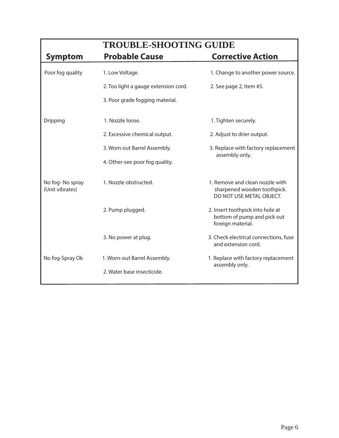|                                    | <b>TROUBLE-SHOOTING GUIDE</b>        |                                                                                            |  |  |
|------------------------------------|--------------------------------------|--------------------------------------------------------------------------------------------|--|--|
| <b>Symptom</b>                     | <b>Probable Cause</b>                | <b>Corrective Action</b>                                                                   |  |  |
| Poor fog quality                   | 1. Low Voltage.                      | 1. Change to another power source.                                                         |  |  |
|                                    | 2. Too light a gauge extension cord. | 2. See page 2, Item #5.                                                                    |  |  |
|                                    | 3. Poor grade fogging material.      |                                                                                            |  |  |
| Dripping                           | 1. Nozzle loose.                     | 1. Tighten securely.                                                                       |  |  |
|                                    | 2. Excessive chemical output.        | 2. Adjust to drier output.                                                                 |  |  |
|                                    | 3. Worn out Barrel Assembly.         | 3. Replace with factory replacement                                                        |  |  |
|                                    | 4. Other-see poor fog quality.       | assembly only.                                                                             |  |  |
| No fog-No spray<br>(Unit vibrates) | 1. Nozzle obstructed.                | 1. Remove and clean nozzle with<br>sharpened wooden toothpick.<br>DO NOT USE METAL OBJECT. |  |  |
|                                    | 2. Pump plugged.                     | 2. Insert toothpick into hole at<br>bottom of pump and pick out<br>foreign material.       |  |  |
|                                    | 3. No power at plug.                 | 3. Check electrical connections, fuse<br>and extension cord.                               |  |  |
| No fog-Spray Ok                    | 1. Worn-out Barrel Assembly.         | 1. Replace with factory replacement                                                        |  |  |
|                                    | 2. Water base insecticide.           | assembly only.                                                                             |  |  |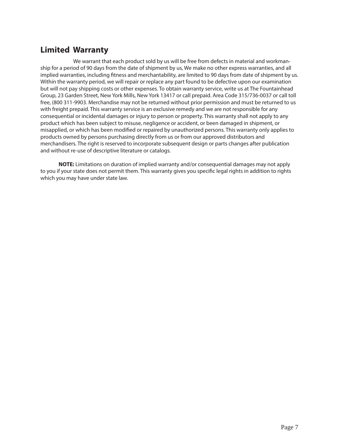#### **Limited Warranty**

 We warrant that each product sold by us will be free from defects in material and workmanship for a period of 90 days from the date of shipment by us, We make no other express warranties, and all implied warranties, including fitness and merchantability, are limited to 90 days from date of shipment by us. Within the warranty period, we will repair or replace any part found to be defective upon our examination but will not pay shipping costs or other expenses. To obtain warranty service, write us at The Fountainhead Group, 23 Garden Street, New York Mills, New York 13417 or call prepaid. Area Code 315/736-0037 or call toll free, (800 311-9903. Merchandise may not be returned without prior permission and must be returned to us with freight prepaid. This warranty service is an exclusive remedy and we are not responsible for any consequential or incidental damages or injury to person or property. This warranty shall not apply to any product which has been subject to misuse, negligence or accident, or been damaged in shipment, or misapplied, or which has been modified or repaired by unauthorized persons. This warranty only applies to products owned by persons purchasing directly from us or from our approved distributors and merchandisers. The right is reserved to incorporate subsequent design or parts changes after publication and without re-use of descriptive literature or catalogs.

 **NOTE:** Limitations on duration of implied warranty and/or consequential damages may not apply to you if your state does not permit them. This warranty gives you specific legal rights in addition to rights which you may have under state law.